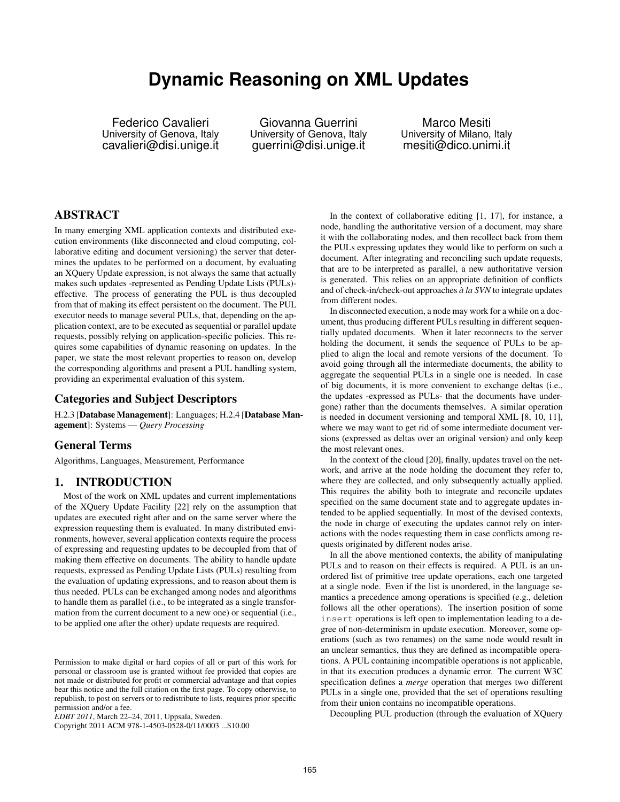# **Dynamic Reasoning on XML Updates**

Federico Cavalieri University of Genova, Italy cavalieri@disi.unige.it

Giovanna Guerrini University of Genova, Italy guerrini@disi.unige.it

Marco Mesiti University of Milano, Italy mesiti@dico.unimi.it

# ABSTRACT

In many emerging XML application contexts and distributed execution environments (like disconnected and cloud computing, collaborative editing and document versioning) the server that determines the updates to be performed on a document, by evaluating an XQuery Update expression, is not always the same that actually makes such updates -represented as Pending Update Lists (PULs) effective. The process of generating the PUL is thus decoupled from that of making its effect persistent on the document. The PUL executor needs to manage several PULs, that, depending on the application context, are to be executed as sequential or parallel update requests, possibly relying on application-specific policies. This requires some capabilities of dynamic reasoning on updates. In the paper, we state the most relevant properties to reason on, develop the corresponding algorithms and present a PUL handling system, providing an experimental evaluation of this system.

### Categories and Subject Descriptors

H.2.3 [Database Management]: Languages; H.2.4 [Database Management]: Systems — *Query Processing*

## General Terms

Algorithms, Languages, Measurement, Performance

## 1. INTRODUCTION

Most of the work on XML updates and current implementations of the XQuery Update Facility [22] rely on the assumption that updates are executed right after and on the same server where the expression requesting them is evaluated. In many distributed environments, however, several application contexts require the process of expressing and requesting updates to be decoupled from that of making them effective on documents. The ability to handle update requests, expressed as Pending Update Lists (PULs) resulting from the evaluation of updating expressions, and to reason about them is thus needed. PULs can be exchanged among nodes and algorithms to handle them as parallel (i.e., to be integrated as a single transformation from the current document to a new one) or sequential (i.e., to be applied one after the other) update requests are required.

Copyright 2011 ACM 978-1-4503-0528-0/11/0003 ...\$10.00

In the context of collaborative editing [1, 17], for instance, a node, handling the authoritative version of a document, may share it with the collaborating nodes, and then recollect back from them the PULs expressing updates they would like to perform on such a document. After integrating and reconciling such update requests, that are to be interpreted as parallel, a new authoritative version is generated. This relies on an appropriate definition of conflicts and of check-in/check-out approaches *à la SVN* to integrate updates from different nodes.

In disconnected execution, a node may work for a while on a document, thus producing different PULs resulting in different sequentially updated documents. When it later reconnects to the server holding the document, it sends the sequence of PULs to be applied to align the local and remote versions of the document. To avoid going through all the intermediate documents, the ability to aggregate the sequential PULs in a single one is needed. In case of big documents, it is more convenient to exchange deltas (i.e., the updates -expressed as PULs- that the documents have undergone) rather than the documents themselves. A similar operation is needed in document versioning and temporal XML [8, 10, 11], where we may want to get rid of some intermediate document versions (expressed as deltas over an original version) and only keep the most relevant ones.

In the context of the cloud [20], finally, updates travel on the network, and arrive at the node holding the document they refer to, where they are collected, and only subsequently actually applied. This requires the ability both to integrate and reconcile updates specified on the same document state and to aggregate updates intended to be applied sequentially. In most of the devised contexts, the node in charge of executing the updates cannot rely on interactions with the nodes requesting them in case conflicts among requests originated by different nodes arise.

In all the above mentioned contexts, the ability of manipulating PULs and to reason on their effects is required. A PUL is an unordered list of primitive tree update operations, each one targeted at a single node. Even if the list is unordered, in the language semantics a precedence among operations is specified (e.g., deletion follows all the other operations). The insertion position of some insert operations is left open to implementation leading to a degree of non-determinism in update execution. Moreover, some operations (such as two renames) on the same node would result in an unclear semantics, thus they are defined as incompatible operations. A PUL containing incompatible operations is not applicable, in that its execution produces a dynamic error. The current W3C specification defines a *merge* operation that merges two different PULs in a single one, provided that the set of operations resulting from their union contains no incompatible operations.

Decoupling PUL production (through the evaluation of XQuery

Permission to make digital or hard copies of all or part of this work for personal or classroom use is granted without fee provided that copies are not made or distributed for profit or commercial advantage and that copies bear this notice and the full citation on the first page. To copy otherwise, to republish, to post on servers or to redistribute to lists, requires prior specific permission and/or a fee.

*EDBT 2011*, March 22–24, 2011, Uppsala, Sweden.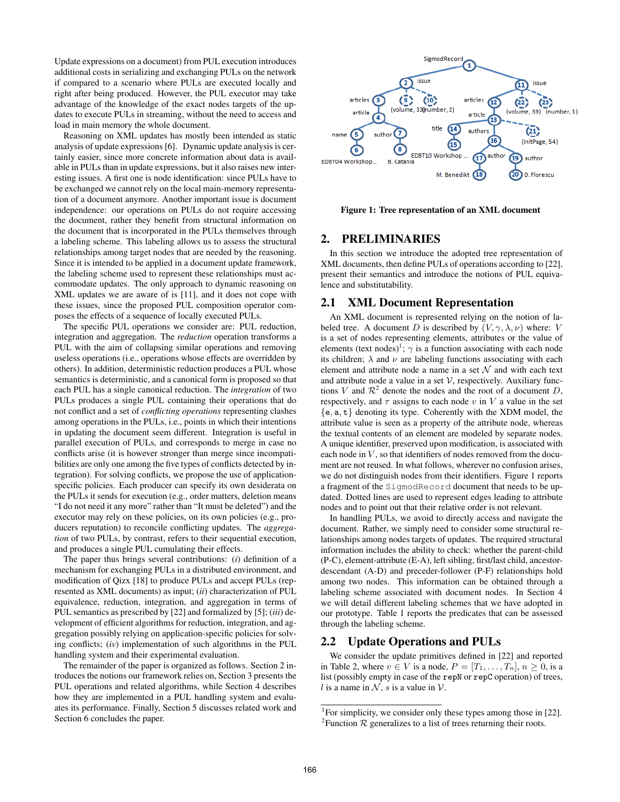Update expressions on a document) from PUL execution introduces additional costs in serializing and exchanging PULs on the network if compared to a scenario where PULs are executed locally and right after being produced. However, the PUL executor may take advantage of the knowledge of the exact nodes targets of the updates to execute PULs in streaming, without the need to access and load in main memory the whole document.

Reasoning on XML updates has mostly been intended as static analysis of update expressions [6]. Dynamic update analysis is certainly easier, since more concrete information about data is available in PULs than in update expressions, but it also raises new interesting issues. A first one is node identification: since PULs have to be exchanged we cannot rely on the local main-memory representation of a document anymore. Another important issue is document independence: our operations on PULs do not require accessing the document, rather they benefit from structural information on the document that is incorporated in the PULs themselves through a labeling scheme. This labeling allows us to assess the structural relationships among target nodes that are needed by the reasoning. Since it is intended to be applied in a document update framework, the labeling scheme used to represent these relationships must accommodate updates. The only approach to dynamic reasoning on XML updates we are aware of is [11], and it does not cope with these issues, since the proposed PUL composition operator composes the effects of a sequence of locally executed PULs.

The specific PUL operations we consider are: PUL reduction, integration and aggregation. The *reduction* operation transforms a PUL with the aim of collapsing similar operations and removing useless operations (i.e., operations whose effects are overridden by others). In addition, deterministic reduction produces a PUL whose semantics is deterministic, and a canonical form is proposed so that each PUL has a single canonical reduction. The *integration* of two PULs produces a single PUL containing their operations that do not conflict and a set of *conflicting operations* representing clashes among operations in the PULs, i.e., points in which their intentions in updating the document seem different. Integration is useful in parallel execution of PULs, and corresponds to merge in case no conflicts arise (it is however stronger than merge since incompatibilities are only one among the five types of conflicts detected by integration). For solving conflicts, we propose the use of applicationspecific policies. Each producer can specify its own desiderata on the PULs it sends for execution (e.g., order matters, deletion means "I do not need it any more" rather than "It must be deleted") and the executor may rely on these policies, on its own policies (e.g., producers reputation) to reconcile conflicting updates. The *aggregation* of two PULs, by contrast, refers to their sequential execution, and produces a single PUL cumulating their effects.

The paper thus brings several contributions: (*i*) definition of a mechanism for exchanging PULs in a distributed environment, and modification of Qizx [18] to produce PULs and accept PULs (represented as XML documents) as input; (*ii*) characterization of PUL equivalence, reduction, integration, and aggregation in terms of PUL semantics as prescribed by [22] and formalized by [5]; (*iii*) development of efficient algorithms for reduction, integration, and aggregation possibly relying on application-specific policies for solving conflicts; (*iv*) implementation of such algorithms in the PUL handling system and their experimental evaluation.

The remainder of the paper is organized as follows. Section 2 introduces the notions our framework relies on, Section 3 presents the PUL operations and related algorithms, while Section 4 describes how they are implemented in a PUL handling system and evaluates its performance. Finally, Section 5 discusses related work and Section 6 concludes the paper.



Figure 1: Tree representation of an XML document

# 2. PRELIMINARIES

In this section we introduce the adopted tree representation of XML documents, then define PULs of operations according to [22], present their semantics and introduce the notions of PUL equivalence and substitutability.

### 2.1 XML Document Representation

An XML document is represented relying on the notion of labeled tree. A document D is described by  $(V, \gamma, \lambda, \nu)$  where: V is a set of nodes representing elements, attributes or the value of elements (text nodes)<sup>1</sup>;  $\gamma$  is a function associating with each node its children;  $\lambda$  and  $\nu$  are labeling functions associating with each element and attribute node a name in a set  $N$  and with each text and attribute node a value in a set  $V$ , respectively. Auxiliary functions V and  $\mathcal{R}^2$  denote the nodes and the root of a document D, respectively, and  $\tau$  assigns to each node v in V a value in the set {e, a, t} denoting its type. Coherently with the XDM model, the attribute value is seen as a property of the attribute node, whereas the textual contents of an element are modeled by separate nodes. A unique identifier, preserved upon modification, is associated with each node in  $V$ , so that identifiers of nodes removed from the document are not reused. In what follows, wherever no confusion arises, we do not distinguish nodes from their identifiers. Figure 1 reports a fragment of the SigmodRecord document that needs to be updated. Dotted lines are used to represent edges leading to attribute nodes and to point out that their relative order is not relevant.

In handling PULs, we avoid to directly access and navigate the document. Rather, we simply need to consider some structural relationships among nodes targets of updates. The required structural information includes the ability to check: whether the parent-child (P-C), element-attribute (E-A), left sibling, first/last child, ancestordescendant (A-D) and preceder-follower (P-F) relationships hold among two nodes. This information can be obtained through a labeling scheme associated with document nodes. In Section 4 we will detail different labeling schemes that we have adopted in our prototype. Table 1 reports the predicates that can be assessed through the labeling scheme.

### 2.2 Update Operations and PULs

We consider the update primitives defined in [22] and reported in Table 2, where  $v \in V$  is a node,  $P = [T_1, \ldots, T_n], n \ge 0$ , is a list (possibly empty in case of the repN or repC operation) of trees, l is a name in N, s is a value in V.

<sup>&</sup>lt;sup>1</sup>For simplicity, we consider only these types among those in [22]. <sup>2</sup> Function  $R$  generalizes to a list of trees returning their roots.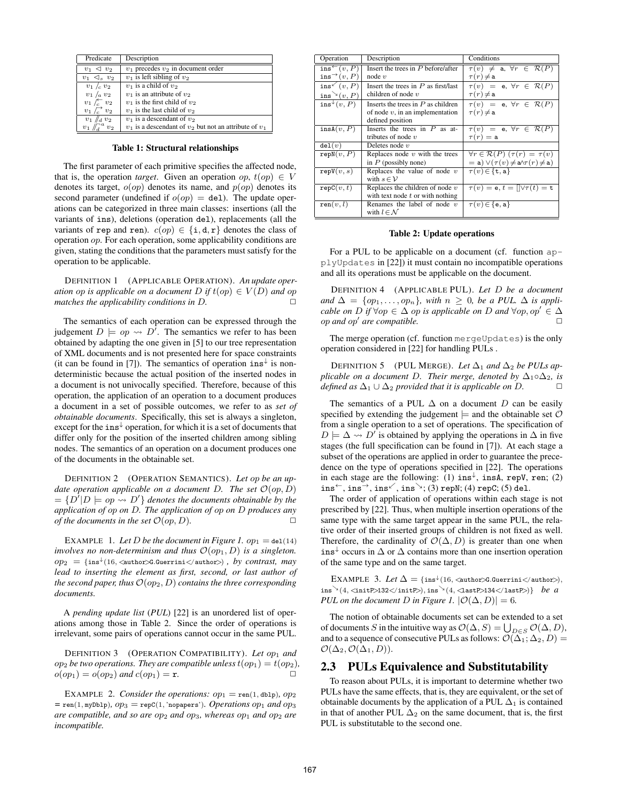| Predicate                                           | Description                                                  |  |
|-----------------------------------------------------|--------------------------------------------------------------|--|
| $v_1 \triangleleft v_2$                             | $v_1$ precedes $v_2$ in document order                       |  |
| $v_1 \leq_s v_2$                                    | $v_1$ is left sibling of $v_2$                               |  |
| $v_1/c$ $v_2$                                       | $v_1$ is a child of $v_2$                                    |  |
| $v_1/a v_2$                                         | $v_1$ is an attribute of $v_2$                               |  |
| $v_1 \not\stackrel{\leftarrow}{\phantom{}_{C}} v_2$ | $v_1$ is the first child of $v_2$                            |  |
| $v_1 \nearrow v_2$                                  | $v_1$ is the last child of $v_2$                             |  |
| $v_1 \parallel_d v_2$                               | $v_1$ is a descendant of $v_2$                               |  |
| $v_1 \sqrt{a}^a v_2$                                | $v_1$ is a descendant of $v_2$ but not an attribute of $v_1$ |  |

### Table 1: Structural relationships

The first parameter of each primitive specifies the affected node, that is, the operation *target*. Given an operation  $op, t(op) \in V$ denotes its target,  $o(op)$  denotes its name, and  $p(op)$  denotes its second parameter (undefined if  $o(op) =$  del). The update operations can be categorized in three main classes: insertions (all the variants of ins), deletions (operation del), replacements (all the variants of rep and ren).  $c(op) \in \{\text{i}, \text{d}, \text{r}\}\$  denotes the class of operation op. For each operation, some applicability conditions are given, stating the conditions that the parameters must satisfy for the operation to be applicable.

DEFINITION 1 (APPLICABLE OPERATION). *An update operation* op *is applicable on a document*  $D$  *if*  $t(op) \in V(D)$  *and op*  $m$  *matches the applicability conditions in*  $D$ .

The semantics of each operation can be expressed through the judgement  $D \models op \leadsto D'$ . The semantics we refer to has been obtained by adapting the one given in [5] to our tree representation of XML documents and is not presented here for space constraints (it can be found in [7]). The semantics of operation  $ins^{\downarrow}$  is nondeterministic because the actual position of the inserted nodes in a document is not univocally specified. Therefore, because of this operation, the application of an operation to a document produces a document in a set of possible outcomes, we refer to as *set of obtainable documents*. Specifically, this set is always a singleton, except for the  $ins^{\downarrow}$  operation, for which it is a set of documents that differ only for the position of the inserted children among sibling nodes. The semantics of an operation on a document produces one of the documents in the obtainable set.

DEFINITION 2 (OPERATION SEMANTICS). *Let* op *be an update operation applicable on a document* D. The set  $\mathcal{O}(op, D)$  $= \{D^{\prime}|D \models op \leadsto D^{\prime}\}\$ denotes the documents obtainable by the *application of* op *on* D*. The application of* op *on* D *produces any of the documents in the set*  $\mathcal{O}(op, D)$ *.*  $\Box$ 

EXAMPLE 1. Let D be the document in Figure 1.  $op_1 =$  del(14) *involves no non-determinism and thus*  $\mathcal{O}(op_1, D)$  *is a singleton.* op<sup>2</sup> = {ins<sup>↓</sup> (16, <author>G.Guerrini</author>) *, by contrast, may lead to inserting the element as first, second, or last author of the second paper, thus*  $\mathcal{O}(op_2, D)$  *contains the three corresponding documents.*

A *pending update list* (*PUL*) [22] is an unordered list of operations among those in Table 2. Since the order of operations is irrelevant, some pairs of operations cannot occur in the same PUL.

DEFINITION 3 (OPERATION COMPATIBILITY). Let op<sub>1</sub> and  $op_2$  *be two operations. They are compatible unless*  $t(op_1) = t(op_2)$ *,*  $o(op_1) = o(op_2)$  *and*  $c(op_1) = r$ .

EXAMPLE 2. *Consider the operations:*  $op_1 = \text{ren}(1, \text{db1p})$ ,  $op_2$  $=$  ren(1, myDblp)*,*  $op_3 =$  repC(1, 'nopapers')*. Operations*  $op_1$  *and*  $op_3$ *are compatible, and so are op<sub>2</sub> and op<sub>3</sub>, whereas op<sub>1</sub> and op<sub>2</sub> are incompatible.*

| Operation                 | Description                           | Conditions                                           |
|---------------------------|---------------------------------------|------------------------------------------------------|
| $ins^{\leftarrow}(v, P)$  | Insert the trees in $P$ before/after  | $\tau(v) \neq a, \forall r \in \mathcal{R}(P)$       |
| $ins^{\rightarrow}(v, P)$ | node $v$                              | $\tau(r) \neq a$                                     |
| $ins^{k'}(v, P)$          | Insert the trees in $P$ as first/last | $\tau(v) = e, \forall r \in \mathcal{R}(P)$          |
| ins $(v, P)$              | children of node $v$                  | $\tau(r) \neq a$                                     |
| $ins^+(v, P)$             | Inserts the trees in $P$ as children  | $\tau(v) = e, \forall r \in \mathcal{R}(P)$          |
|                           | of node $v$ , in an implementation    | $\tau(r) \neq a$                                     |
|                           | defined position                      |                                                      |
| insA(v, P)                | Inserts the trees in $P$ as at-       | $\tau(v) = e, \forall r \in \mathcal{R}(P)$          |
|                           | tributes of node $v$                  | $\tau(r) = a$                                        |
| del(v)                    | Deletes node $v$                      |                                                      |
| $\texttt{repN}(v, P)$     | Replaces node $v$ with the trees      | $\forall r \in \mathcal{R}(P)$ $(\tau(r) = \tau(v))$ |
|                           | in $P$ (possibly none)                | $=$ a) $\vee (\tau(v) \neq a \wedge \tau(r) \neq a)$ |
| $\mathtt{repV}(v,s)$      | Replaces the value of node $v$        | $\tau(v) \in \{\texttt{t}, \texttt{a}\}\$            |
|                           | with $s \in \mathcal{V}$              |                                                      |
| $\texttt{repC}(v,t)$      | Replaces the children of node $v$     | $\tau(v) = e, t = \sqrt{v \tau(t)} = t$              |
|                           | with text node $t$ or with nothing    |                                                      |
| ren(v, l)                 | Renames the label of node $v$         | $\tau(v) \in \{e, a\}$                               |
|                           | with $l \in \mathcal{N}$              |                                                      |

#### Table 2: Update operations

For a PUL to be applicable on a document (cf. function applyUpdates in [22]) it must contain no incompatible operations and all its operations must be applicable on the document.

DEFINITION 4 (APPLICABLE PUL). *Let* D *be a document and*  $\Delta = \{op_1, \ldots, op_n\}$ *, with*  $n ≥ 0$ *, be a PUL.*  $\Delta$  *is applicable on*  $D$  *if*  $\forall op \in \Delta$  *op is applicable on*  $D$  *and*  $\forall op, op' \in \Delta$  $op$  *and*  $op'$  are compatible.  $\square$ 

The merge operation (cf. function mergeUpdates) is the only operation considered in [22] for handling PULs .

DEFINITION 5 (PUL MERGE). Let  $\Delta_1$  and  $\Delta_2$  be PULs ap*plicable on a document* D. Their merge, denoted by  $\Delta_1 \circ \Delta_2$ , is *defined as*  $\Delta_1 \cup \Delta_2$  *provided that it is applicable on* D.

The semantics of a PUL  $\Delta$  on a document D can be easily specified by extending the judgement  $\models$  and the obtainable set  $\mathcal O$ from a single operation to a set of operations. The specification of  $D \models \Delta \leadsto D'$  is obtained by applying the operations in  $\Delta$  in five stages (the full specification can be found in [7]). At each stage a subset of the operations are applied in order to guarantee the precedence on the type of operations specified in [22]. The operations in each stage are the following:  $(1)$  ins<sup> $\downarrow$ </sup>, insA, repV, ren;  $(2)$ ins<sup> $\leftarrow$ </sup>, ins<sup> $\leftarrow$ </sup>, ins $\leftarrow$ , ins $\leftarrow$ ; (3) repN; (4) repC; (5) del.

The order of application of operations within each stage is not prescribed by [22]. Thus, when multiple insertion operations of the same type with the same target appear in the same PUL, the relative order of their inserted groups of children is not fixed as well. Therefore, the cardinality of  $\mathcal{O}(\Delta, D)$  is greater than one when ins<sup>↓</sup> occurs in  $\Delta$  or  $\Delta$  contains more than one insertion operation of the same type and on the same target.

 $\text{EXAMPLE}$  3.  $\text{Let } \Delta = \{\text{ins}^{\downarrow}(16, \text{ *author* > 0}. \text{Guerrini } \text{ *}/\text{author} \text{ > 0}\},*$  $ins^4(4, \text{CinitP}\geq 132 \text{CinitP}$ , ins  $(4, \text{ClastP}\geq 134 \text{ClastP})$ } *be a PUL on the document D in Figure 1.*  $|\mathcal{O}(\Delta, D)| = 6$ *.* 

The notion of obtainable documents set can be extended to a set of documents S in the intuitive way as  $\mathcal{O}(\Delta, S) = \bigcup_{D \in S} \mathcal{O}(\Delta, D)$ , and to a sequence of consecutive PULs as follows:  $\mathcal{O}(\overline{\Delta_1}; \Delta_2, D)$  =  $\mathcal{O}(\Delta_2, \mathcal{O}(\Delta_1, D)).$ 

### 2.3 PULs Equivalence and Substitutability

To reason about PULs, it is important to determine whether two PULs have the same effects, that is, they are equivalent, or the set of obtainable documents by the application of a PUL  $\Delta_1$  is contained in that of another PUL  $\Delta_2$  on the same document, that is, the first PUL is substitutable to the second one.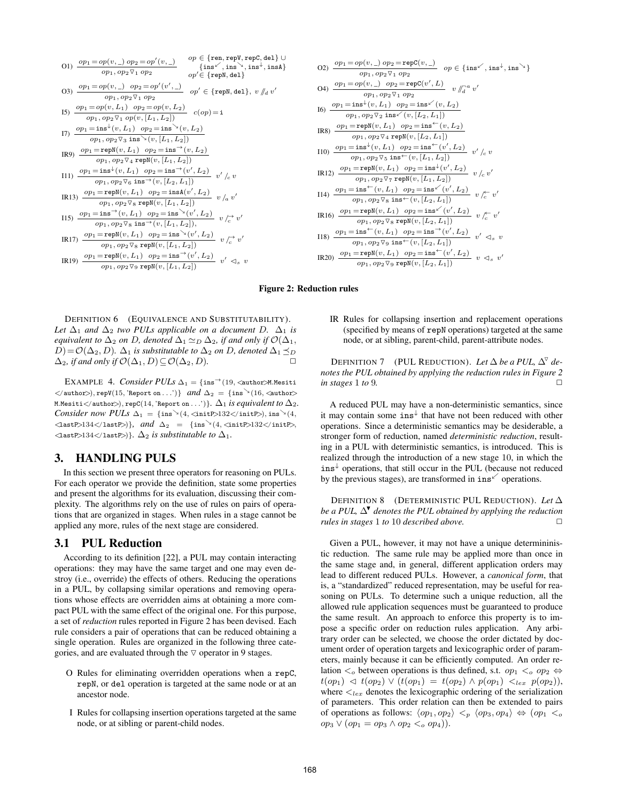

O2) 
$$
\frac{op_1 = op(v, _) op_2 = \text{repC}(v, _) }{op_1, op_2 \nabla_1 op_2} \quad op \in \{\text{ins}^{\vee}, \text{ins}^{\perp}, \text{ins}^{\perp}\}\
$$
  
\nO4) 
$$
\frac{op_1 = op(v, _) op_2 = \text{repC}(v', L)}{op_1, op_2 \nabla_1 op_2} \quad v \text{ and } v'
$$
  
\nI6) 
$$
\frac{op_1 = \text{ins}^{\perp}(v, L_1) \quad op_2 = \text{ins}^{\vee}(v, L_2)}{op_1, op_2 \nabla_2 \text{ ins}^{\vee}(v, [L_2, L_1])}
$$
  
\nIR8) 
$$
\frac{op_1 = \text{repN}(v, L_1) \quad op_2 = \text{ins}^{\leftarrow}(v, L_2)}{op_1, op_2 \nabla_1 \text{ repN}(v, [L_2, L_1])}
$$
  
\nI10) 
$$
\frac{op_1 = \text{ins}^{\perp}(v, L_1) \quad op_2 = \text{ins}^{\leftarrow}(v', L_2)}{op_1, op_2 \nabla_5 \text{ ins}^{\leftarrow}(v, [L_1, L_2])} \quad v' \text{ or } v' \text{ on } v \text{ on } v \text{ on } v \text{ on } v \text{ on } v \text{ on } v \text{ on } v \text{ on } v \text{ on } v \text{ on } v \text{ on } v \text{ on } v \text{ on } v \text{ on } v \text{ on } v \text{ on } v \text{ on } v \text{ on } v \text{ on } v \text{ on } v \text{ on } v \text{ on } v \text{ on } v \text{ on } v \text{ on } v \text{ on } v \text{ on } v \text{ on } v \text{ on } v \text{ on } v \text{ on } v \text{ on } v \text{ on } v \text{ on } v \text{ on } v \text{ on } v \text{ on } v \text{ on } v \text{ on } v \text{ on } v \text{ on } v \text{ on } v \text{ on } v \text{ on } v \text{ on } v \text{ on } v \text{ on } v \text{ on } v \text{ on } v \text{ on } v \text{ on } v \text{ on } v \text{ on } v \text{
$$

#### Figure 2: Reduction rules

DEFINITION 6 (EQUIVALENCE AND SUBSTITUTABILITY). *Let*  $\Delta_1$  *and*  $\Delta_2$  *two PULs applicable on a document* D.  $\Delta_1$  *is equivalent to*  $\Delta_2$  *on* D, denoted  $\Delta_1 \simeq_D \Delta_2$ , if and only if  $\mathcal{O}(\Delta_1)$ ,  $(D) = \mathcal{O}(\Delta_2, D)$ *.*  $\Delta_1$  *is substitutable to*  $\Delta_2$  *on D, denoted*  $\Delta_1 \preceq_D$  $\Delta_2$ *, if and only if*  $\mathcal{O}(\Delta_1, D) \subseteq \mathcal{O}(\Delta_2, D)$ *.*  $\Box$ 

EXAMPLE 4. *Consider PULs*  $\Delta_1 = \{\text{ins}^{\rightarrow}(19, \text{ *author* \times M. Mesiti}$  $\langle$ author>), repV(15, 'Report on . . .')} *and*  $\Delta_2 = {\text{ins} \setminus (16, \langle \text{author} \rangle)}$ M.Mesiti</author>), repC(14, 'Report on . . .')}.  $\Delta_1$  *is equivalent to*  $\Delta_2$ . *Consider now PULs*  $\Delta_1 = {\text{ins} \choose (4, \text{shift} \geq 132 \text{ with } 2)$ , ins  $\lambda(4, \text{shift} \geq 132 \text{ with } 2)$  $\langle \text{lastP>134} \langle \text{lastP>}\rangle \}, \text{ and } \Delta_2 = \{\text{ins} \setminus (4, \langle \text{initP>132} \langle \text{initP>}\rangle,$  $\langle$ lastP>134 $\langle$ lastP>)}*.*  $\Delta_2$  *is substitutable to*  $\Delta_1$ *.* 

# 3. HANDLING PULS

In this section we present three operators for reasoning on PULs. For each operator we provide the definition, state some properties and present the algorithms for its evaluation, discussing their complexity. The algorithms rely on the use of rules on pairs of operations that are organized in stages. When rules in a stage cannot be applied any more, rules of the next stage are considered.

### 3.1 PUL Reduction

According to its definition [22], a PUL may contain interacting operations: they may have the same target and one may even destroy (i.e., override) the effects of others. Reducing the operations in a PUL, by collapsing similar operations and removing operations whose effects are overridden aims at obtaining a more compact PUL with the same effect of the original one. For this purpose, a set of *reduction* rules reported in Figure 2 has been devised. Each rule considers a pair of operations that can be reduced obtaining a single operation. Rules are organized in the following three categories, and are evaluated through the  $\nabla$  operator in 9 stages.

- O Rules for eliminating overridden operations when a repC, repN, or del operation is targeted at the same node or at an ancestor node.
- I Rules for collapsing insertion operations targeted at the same node, or at sibling or parent-child nodes.

IR Rules for collapsing insertion and replacement operations (specified by means of repN operations) targeted at the same node, or at sibling, parent-child, parent-attribute nodes.

DEFINITION 7 (PUL REDUCTION). Let  $\Delta$  be a PUL,  $\Delta^{\triangledown}$  de*notes the PUL obtained by applying the reduction rules in Figure 2 in stages* 1 *to* 9*.*  $\Box$ 

A reduced PUL may have a non-deterministic semantics, since it may contain some ins<sup>↓</sup> that have not been reduced with other operations. Since a deterministic semantics may be desiderable, a stronger form of reduction, named *deterministic reduction*, resulting in a PUL with deterministic semantics, is introduced. This is realized through the introduction of a new stage 10, in which the ins<sup>↓</sup> operations, that still occur in the PUL (because not reduced by the previous stages), are transformed in  $ins^{\checkmark}$  operations.

DEFINITION 8 (DETERMINISTIC PUL REDUCTION). *Let* ∆ *be a PUL,*  $\Delta$ <sup>*†*</sup> denotes the PUL obtained by applying the reduction  $rules in stages 1 to 10 described above.$ 

Given a PUL, however, it may not have a unique determininistic reduction. The same rule may be applied more than once in the same stage and, in general, different application orders may lead to different reduced PULs. However, a *canonical form*, that is, a "standardized" reduced representation, may be useful for reasoning on PULs. To determine such a unique reduction, all the allowed rule application sequences must be guaranteed to produce the same result. An approach to enforce this property is to impose a specific order on reduction rules application. Any arbitrary order can be selected, we choose the order dictated by document order of operation targets and lexicographic order of parameters, mainly because it can be efficiently computed. An order relation  $\lt_o$  between operations is thus defined, s.t.  $op_1 \lt_o op_2 \Leftrightarrow$  $t(op_1) \triangleleft t(op_2) \vee (t(op_1) = t(op_2) \wedge p(op_1) \leq_{lex} p(op_2)$ ), where  $\leq_{lex}$  denotes the lexicographic ordering of the serialization of parameters. This order relation can then be extended to pairs of operations as follows:  $\langle op_1, op_2 \rangle <sub>p</sub> \langle op_3, op_4 \rangle \Leftrightarrow (op_1 <sub>o</sub>)$  $op_3 \vee (op_1 = op_3 \wedge op_2 <_o op_4)).$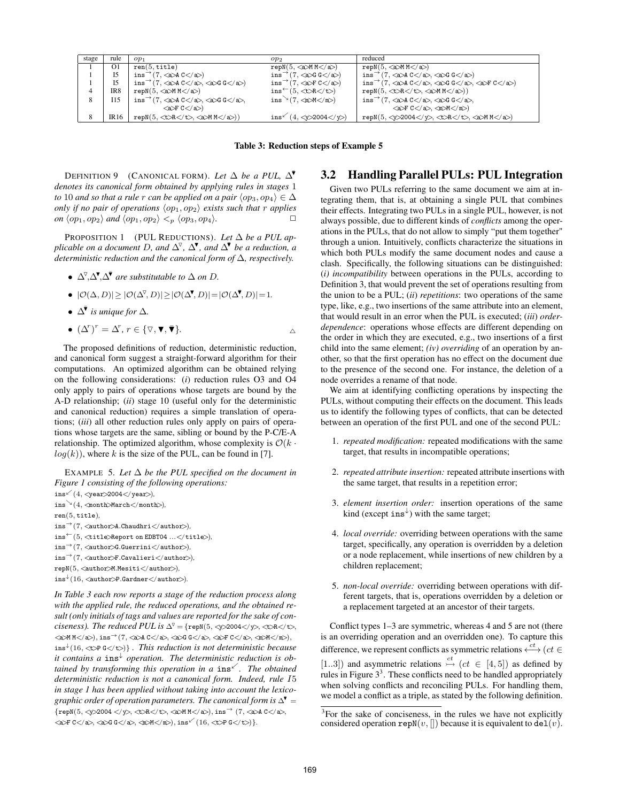| stage | rule             | op <sub>1</sub>                                                                                 | $op_2$                                                       | reduced                                                                                                                                                     |
|-------|------------------|-------------------------------------------------------------------------------------------------|--------------------------------------------------------------|-------------------------------------------------------------------------------------------------------------------------------------------------------------|
|       | O <sub>1</sub>   | ren(5, title)                                                                                   | $repN(5, \langle a \rangle M M \langle a \rangle)$           | repN(5, <a)m n(<a="">)</a)m>                                                                                                                                |
|       | I5               | $ins^{-1}(7, \langle a \rangle AC \langle a \rangle)$                                           | $ins^{-1}(7, G G$                                            | $ins^{\rightarrow}$ (7, $\langle a \rangle A C \langle a \rangle$ , $\langle a \rangle G G \langle a \rangle$ )                                             |
|       | I5               | $ins^{-1}(7, \langle a \rangle A C \langle a \rangle, \langle a \rangle G C \langle a \rangle)$ | $ins^{-1}(7, \langle a \rangle F C \langle a \rangle)$       | $ins^{\rightarrow}$ (7, $\langle a \rangle A C \langle a \rangle$ , $\langle a \rangle G C \langle a \rangle$ , $\langle a \rangle F C \langle a \rangle$ ) |
|       | IR8              | $repN(5, \langle a \rangle MN \langle a \rangle)$                                               | $ins^{\leftarrow}(5, \langle t \rangle R \langle t \rangle)$ | $repN(5, \langle t \rangle R \langle t \rangle, \langle a \rangle M M \langle a \rangle)$                                                                   |
| 8     | 115              | $ins^{-1}(7, \langle a \rangle A C \langle a \rangle, \langle a \rangle G C \langle a \rangle,$ | $ins^{\searrow} (7, \langle m \rangle M \langle m \rangle)$  | $ins^{\rightarrow}$ (7, $\langle a \rangle A C \langle a \rangle$ , $\langle a \rangle G G \langle a \rangle$ ,                                             |
|       |                  | $\langle a \rangle F C \langle a \rangle$                                                       |                                                              | $\langle a \rangle F$ C $\langle a \rangle$ , $\langle m \rangle M \langle m \rangle$                                                                       |
|       | IR <sub>16</sub> | $repN(5, R, <\langle aMM\sim(a\rangle))$                                                        | $ins^{2}(4, 2004$                                            | repN $(5, \langle y \rangle 2004 \langle y \rangle, \langle t \rangle R \langle t \rangle, \langle a \rangle M M \langle a \rangle)$                        |

#### Table 3: Reduction steps of Example 5

DEFINITION 9 (CANONICAL FORM). Let  $\Delta$  be a PUL,  $\Delta^{\bullet}$ *denotes its canonical form obtained by applying rules in stages* 1 *to* 10 *and so that a rule* r *can be applied on a pair*  $\langle op_3, op_4 \rangle \in \Delta$ *only if no pair of operations*  $\langle op_1, op_2 \rangle$  *exists such that r applies on*  $\langle op_1, op_2 \rangle$  *and*  $\langle op_1, op_2 \rangle <sub>p</sub> \langle op_3, op_4 \rangle$ .

PROPOSITION 1 (PUL REDUCTIONS). *Let* ∆ *be a PUL applicable on a document D, and*  $\Delta^{\nabla}$ ,  $\Delta^{\nabla}$ , and  $\Delta^{\nabla}$  be a reduction, a *deterministic reduction and the canonical form of* ∆*, respectively.*

- $\Delta^{\nabla}, \Delta^{\nabla}, \Delta^{\nabla}$  *are substitutable to*  $\Delta$  *on D*.
- $|\mathcal{O}(\Delta, D)| \geq |\mathcal{O}(\Delta^{\nabla}, D)| \geq |\mathcal{O}(\Delta^{\nabla}, D)| = |\mathcal{O}(\Delta^{\nabla}, D)| = 1.$
- $\Delta$ <sup>*i*</sup> *is unique for*  $\Delta$ *.*
- $(\Delta^r)^r = \Delta^r, r \in {\nabla, \nabla, \overline{\nabla}}.$

The proposed definitions of reduction, deterministic reduction, and canonical form suggest a straight-forward algorithm for their computations. An optimized algorithm can be obtained relying on the following considerations: (*i*) reduction rules O3 and O4 only apply to pairs of operations whose targets are bound by the A-D relationship; (*ii*) stage 10 (useful only for the deterministic and canonical reduction) requires a simple translation of operations; (*iii*) all other reduction rules only apply on pairs of operations whose targets are the same, sibling or bound by the P-C/E-A relationship. The optimized algorithm, whose complexity is  $\mathcal{O}(k \cdot$  $log(k)$ , where k is the size of the PUL, can be found in [7].

EXAMPLE 5. *Let* ∆ *be the PUL specified on the document in Figure 1 consisting of the following operations:*

ins.(4, <year>2004</year>)*,* ins  $\lambda$  (4, <month>March</month>), ren(5, title)*,* ins→(7, <author>A.Chaudhri</author>)*,* ins<sup>←</sup>(5,  $lt$ title $\aleph$ Report on EDBT04 ... $lt$ /title $>$ ), ins→(7, <author>G.Guerrini</author>)*,*

- ins→(7, <author>F.Cavalieri</author>)*,*
- repN(5, <author>M.Mesiti</author>)*,*
- ins<sup>↓</sup> (16, <author>P.Gardner</author>)*.*

*In Table 3 each row reports a stage of the reduction process along with the applied rule, the reduced operations, and the obtained result (only initials of tags and values are reported for the sake of conciseness). The reduced PUL is*  $\Delta^{\nabla} = \{ \text{repN}(5, \langle y \rangle, 2004 \langle y \rangle, \langle y \rangle, \langle y \rangle, \langle y \rangle, \langle x \rangle, \langle y \rangle, \langle x \rangle, \langle y \rangle, \langle y \rangle, \langle y \rangle, \langle y \rangle, \langle y \rangle, \langle y \rangle, \langle y \rangle, \langle y \rangle, \langle y \rangle, \langle y \rangle, \langle y \rangle, \langle y \rangle, \langle y \rangle, \langle y \rangle, \langle y \rangle, \langle y \rangle, \langle y \rangle, \langle y \rangle, \langle y \rangle, \langle$  $<\!\!a\!\!>\!\!M\,M\!<\!\!/\,a\!\!>\,),\,\text{ins}^{\rightarrow}\big(7,\!<\!\!a\!\!>\!\!A\;C\!<\!\!/\,a\!\!>,\!<\!\!a\!\!>\!\!G\,G\!<\!\!/\,a\!\!>,\!<\!\!a\!\!>\!\!F\;C\!<\!\!/\,a\!\!>,\!<\!\!m\!\!>\!\!M\!<\!\!/\,n\!\!>\big),$ ins<sup>↓</sup> (16, <t>P G</t>)} *. This reduction is not deterministic because it contains a* ins<sup>↓</sup> *operation. The deterministic reduction is obtained by transforming this operation in a* ins<sup> $\angle$ </sup>. *The obtained deterministic reduction is not a canonical form. Indeed, rule* I5 *in stage 1 has been applied without taking into account the lexicographic order of operation parameters. The canonical form is*  $\Delta$ <sup>*r*</sup> =  ${repN(5, 2004 \le y>, R, <\alpha M M, and  $M$ , in  $s^{\rightarrow}$  (7, A C,$  $\langle a \rangle F C \langle a \rangle$ ,  $\langle a \rangle G C \langle a \rangle$ ,  $\langle m \rangle M \langle m \rangle$ ),  $ins \langle (16, \langle t \rangle P G \langle t \rangle) \rangle$ .

## 3.2 Handling Parallel PULs: PUL Integration

Given two PULs referring to the same document we aim at integrating them, that is, at obtaining a single PUL that combines their effects. Integrating two PULs in a single PUL, however, is not always possible, due to different kinds of *conflicts* among the operations in the PULs, that do not allow to simply "put them together" through a union. Intuitively, conflicts characterize the situations in which both PULs modify the same document nodes and cause a clash. Specifically, the following situations can be distinguished: (*i) incompatibility* between operations in the PULs, according to Definition 3, that would prevent the set of operations resulting from the union to be a PUL; (*ii*) *repetitions*: two operations of the same type, like, e.g., two insertions of the same attribute into an element, that would result in an error when the PUL is executed; (*iii*) *orderdependence*: operations whose effects are different depending on the order in which they are executed, e.g., two insertions of a first child into the same element; *(iv) overriding* of an operation by another, so that the first operation has no effect on the document due to the presence of the second one. For instance, the deletion of a node overrides a rename of that node.

We aim at identifying conflicting operations by inspecting the PULs, without computing their effects on the document. This leads us to identify the following types of conflicts, that can be detected between an operation of the first PUL and one of the second PUL:

- 1. *repeated modification:* repeated modifications with the same target, that results in incompatible operations;
- 2. *repeated attribute insertion:* repeated attribute insertions with the same target, that results in a repetition error;
- 3. *element insertion order:* insertion operations of the same kind (except ins<sup> $\downarrow$ </sup>) with the same target;
- 4. *local override:* overriding between operations with the same target, specifically, any operation is overridden by a deletion or a node replacement, while insertions of new children by a children replacement;
- 5. *non-local override:* overriding between operations with different targets, that is, operations overridden by a deletion or a replacement targeted at an ancestor of their targets.

Conflict types 1–3 are symmetric, whereas 4 and 5 are not (there is an overriding operation and an overridden one). To capture this difference, we represent conflicts as symmetric relations  $\stackrel{ct}{\longleftrightarrow}$  ( $ct \in$ [1..3]) and asymmetric relations  $\stackrel{ct}{\rightarrow}$  ( $ct \in [4, 5]$ ) as defined by rules in Figure  $3<sup>3</sup>$ . These conflicts need to be handled appropriately when solving conflicts and reconciling PULs. For handling them, we model a conflict as a triple, as stated by the following definition.

<sup>&</sup>lt;sup>3</sup>For the sake of conciseness, in the rules we have not explicitly considered operation repN $(v, []$ ) because it is equivalent to del $(v)$ .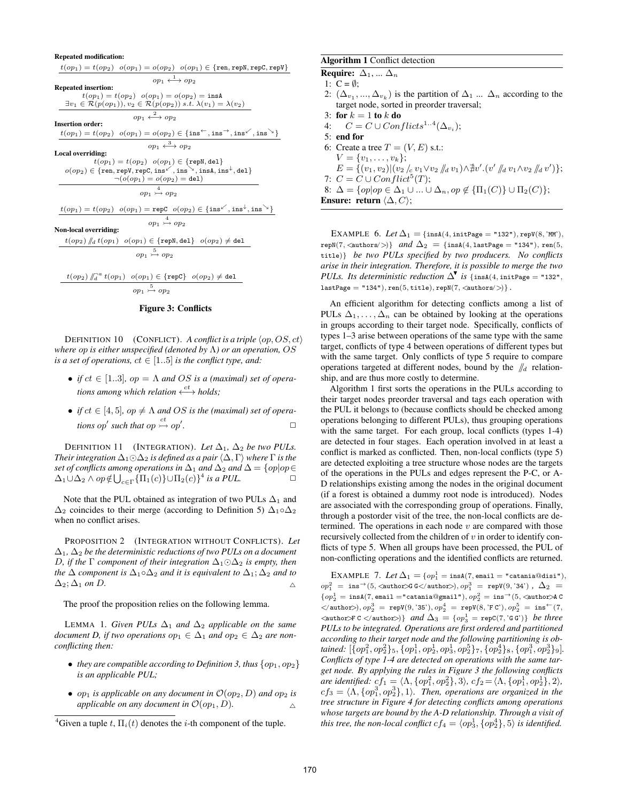#### Repeated modification:

| $t(op_1) = t(op_2)$ $o(op_1) = o(op_2)$ $o(op_1) \in \{ren, repN, repC, repV\}$                                                                                            |
|----------------------------------------------------------------------------------------------------------------------------------------------------------------------------|
| $op_1 \longleftrightarrow op_2$                                                                                                                                            |
| <b>Repeated insertion:</b>                                                                                                                                                 |
| $t(op_1) = t(op_2)$ $o(op_1) = o(op_2) = insA$                                                                                                                             |
| $\exists v_1 \in \mathcal{R}(p(op_1)), v_2 \in \mathcal{R}(p(op_2)) \text{ s.t. } \lambda(v_1) = \lambda(v_2)$                                                             |
| $op_1 \stackrel{2}{\longleftrightarrow} op_2$                                                                                                                              |
| <b>Insertion order:</b>                                                                                                                                                    |
| $t(op_1) = t(op_2) \ \ o(op_1) = o(op_2) \in \{\mathtt{ins}^{\leftarrow},\mathtt{ins}^{\rightarrow},\mathtt{ins}^{\vee},\mathtt{ins}^{\searrow},\mathtt{ins}^{\searrow}\}$ |
| $op_1 \stackrel{3}{\longleftrightarrow} op_2$                                                                                                                              |
| <b>Local overriding:</b>                                                                                                                                                   |
| $t(op_1) = t(op_2)$ $o(op_1) \in \{repN, del\}$                                                                                                                            |
| $o(op_2) \in \{ren, repV, repC, ins \times, ins \times, insA, ins^{\downarrow}, del\}$                                                                                     |
| $\neg(o(op_1) = o(op_2) = del)$                                                                                                                                            |
| $op_1 \stackrel{4}{\rightarrow} op_2$                                                                                                                                      |
| $t(op_1) = t(op_2)$ $o(op_1) = \text{repC}$ $o(op_2) \in \{\text{ins}^{\vee}, \text{ins}^{\perp}, \text{ins}^{\searrow}\}$                                                 |
| $op_1 \rightarrow op_2$                                                                                                                                                    |
| Non-local overriding:                                                                                                                                                      |
| $t(op_2) \nparallel_d t(op_1)$ $o(op_1) \in \{ \text{repN}, \text{del} \}$ $o(op_2) \neq \text{del}$                                                                       |
| $op_1 \stackrel{5}{\rightarrow} op_2$                                                                                                                                      |

t(op2) //¬<sup>a</sup> d t(op1) o(op1) ∈ {repC} o(op2) 6= del  $op_1 \overset{5}{\rightarrow} op_2$ 

#### Figure 3: Conflicts

**DEFINITION 10** (CONFLICT). A conflict is a triple  $\langle op, OS, ct \rangle$ *where* op *is either unspecified (denoted by* Λ*) or an operation,* OS *is a set of operations,*  $ct \in [1..5]$  *is the conflict type, and:* 

- *if*  $ct \in [1..3]$ ,  $op = \Lambda$  *and OS is a (maximal) set of operations among which relation*  $\xleftarrow{ct}$  *holds*;
- *if*  $ct \in [4, 5]$ ,  $op \neq \Lambda$  *and OS is the (maximal) set of opera-* $\emph{tions op}'$  such that  $\emph{op} \overset{\text{ct}}{\rightarrow} \emph{op}'$ *.* ✷

DEFINITION 11 (INTEGRATION). Let  $\Delta_1$ ,  $\Delta_2$  be two PULs. *Their integration*  $\Delta_1 \odot \Delta_2$  *is defined as a pair*  $\langle \Delta, \Gamma \rangle$  *where*  $\Gamma$  *is the set of conflicts among operations in*  $\Delta_1$  *and*  $\Delta_2$  *and*  $\Delta = \{op| op \in$  $\Delta_1 \cup \Delta_2 \wedge op \notin \bigcup_{c \in \Gamma} {\{\Pi_1(c)\} \cup \Pi_2(c)\}^4$  *is a PUL.*  $\Box$ 

Note that the PUL obtained as integration of two PULs  $\Delta_1$  and  $\Delta_2$  coincides to their merge (according to Definition 5)  $\Delta_1 \circ \Delta_2$ when no conflict arises.

PROPOSITION 2 (INTEGRATION WITHOUT CONFLICTS). *Let* ∆1*,* ∆<sup>2</sup> *be the deterministic reductions of two PULs on a document D*, *if the* Γ *component of their integration*  $\Delta_1$  ⊙ $\Delta_2$  *is empty, then the*  $\Delta$  *component is*  $\Delta_1 \circ \Delta_2$  *and it is equivalent to*  $\Delta_1$ ;  $\Delta_2$  *and to*  $\Delta_2$ ;  $\Delta_1$  *on* D.

The proof the proposition relies on the following lemma.

LEMMA 1. *Given PULs*  $\Delta_1$  *and*  $\Delta_2$  *applicable on the same document D, if two operations*  $op_1 \in \Delta_1$  *and*  $op_2 \in \Delta_2$  *are nonconflicting then:*

- *they are compatible according to Definition 3, thus*  $\{op_1, op_2\}$ *is an applicable PUL;*
- op<sub>1</sub> is applicable on any document in  $\mathcal{O}(op_2, D)$  and op<sub>2</sub> is *applicable on any document in*  $\mathcal{O}(op_1, D)$ .

#### Algorithm 1 Conflict detection

Require:  $\Delta_1, \ldots \Delta_n$ 1:  $C = \emptyset$ ;

- 
- 2:  $(\Delta_{v_1}, ..., \Delta_{v_k})$  is the partition of  $\Delta_1 ... \Delta_n$  according to the target node, sorted in preorder traversal;
- 3: for  $k = 1$  to  $k$  do
- 4:  $C = C \cup Conflicts^{1..4}(\Delta_{v_i});$
- 5: end for
- 6: Create a tree  $T = (V, E)$  s.t.:
- $V = \{v_1, \ldots, v_k\};$  $E = \{ (v_1, v_2) | (v_2 /_c v_1 \vee v_2 /_d v_1) \wedge \exists v' . (v' /_d v_1 \wedge v_2 /_d v') \};$ 7:  $C = C \cup Conflict^5(T);$

8:  $\Delta = \{op| op \in \Delta_1 \cup ... \cup \Delta_n, op \notin {\Pi_1(C)} \} \cup {\Pi_2(C)}\};$ Ensure: return  $\langle \Delta, C \rangle$ ;

EXAMPLE 6.  $Let \Delta_1 = \{insA(4, initPage = "132"), repV(8, 'MM'),$ repN(7,  $\langle \text{authors/}\rangle$ )} *and*  $\Delta_2 = \{ \text{insA}(4, \text{lastPage} = \text{"134"}), \text{ren}(5,$ title)} *be two PULs specified by two producers. No conflicts arise in their integration. Therefore, it is possible to merge the two PULs. Its deterministic reduction*  $\Delta$ <sup>*is*</sup> {insA(4, initPage = "132",  $\mathtt{lastPage} = \texttt{"134"}), \mathtt{ren}(5, \mathtt{title}), \mathtt{repN}(7, \texttt{})\} \, .$ 

An efficient algorithm for detecting conflicts among a list of PULs  $\Delta_1, \ldots, \Delta_n$  can be obtained by looking at the operations in groups according to their target node. Specifically, conflicts of types 1–3 arise between operations of the same type with the same target, conflicts of type 4 between operations of different types but with the same target. Only conflicts of type 5 require to compare operations targeted at different nodes, bound by the  $/ \! / \! d$  relationship, and are thus more costly to determine.

Algorithm 1 first sorts the operations in the PULs according to their target nodes preorder traversal and tags each operation with the PUL it belongs to (because conflicts should be checked among operations belonging to different PULs), thus grouping operations with the same target. For each group, local conflicts (types 1-4) are detected in four stages. Each operation involved in at least a conflict is marked as conflicted. Then, non-local conflicts (type 5) are detected exploiting a tree structure whose nodes are the targets of the operations in the PULs and edges represent the P-C, or A-D relationships existing among the nodes in the original document (if a forest is obtained a dummy root node is introduced). Nodes are associated with the corresponding group of operations. Finally, through a postorder visit of the tree, the non-local conflicts are determined. The operations in each node  $v$  are compared with those recursively collected from the children of  $v$  in order to identify conflicts of type 5. When all groups have been processed, the PUL of non-conflicting operations and the identified conflicts are returned.

 $\text{EXAMPLE}$  7.  $\text{Let } \Delta_1 = \{ op_1^1 = \text{insA}(7, \text{email} = \text{"catania@disi"}),$  $\sigma p^2_1$  = ins<sup>→</sup>(5,<author>GG</author>),  $\sigma p^3_1$  = repV(9, '34'),  $\Delta_2$  =  $\{op_2^1 = \text{insA}(7, \text{email} = \text{"catania@gmail"}), op_2^2 = \text{ins}^{\rightarrow}(5, \text{~cauthor}\&\text{~C}$  $\langle \angle$ author $\rangle$ ,  $op_2^3$  = repV(9, '35'),  $op_2^4$  = repV(8, 'FC'),  $op_2^5$  = ins<sup> $\leftarrow$ </sup>(7,  $\langle \text{author}\rangle \text{F C } \langle \text{/author}\rangle \text{)}$  *and*  $\Delta_3 = \{ op_3^1 = \text{repC(7, 'G G')} \}$  *be three PULs to be integrated. Operations are first ordered and partitioned according to their target node and the following partitioning is ob*tained:  $[\{op_1^2, op_2^2\}_5, \{op_1^1, op_2^1, op_3^1, op_2^5\}_7, \{op_2^4\}_8, \{op_1^3, op_2^3\}_9].$ *Conflicts of type 1-4 are detected on operations with the same target node. By applying the rules in Figure 3 the following conflicts are identified:*  $cf_1 = \langle \Lambda, \{op_1^2, op_2^2\}, 3 \rangle$ ,  $cf_2 = \langle \Lambda, \{op_1^1, op_2^1\}, 2 \rangle$ ,  $cf_3 = \langle \Lambda, \{op_1^3, op_2^3\}, 1\rangle$ . Then, operations are organized in the *tree structure in Figure 4 for detecting conflicts among operations whose targets are bound by the A-D relationship. Through a visit of* this tree, the non-local conflict  $cf_4 = \langle op_3^1, \{op_2^4\}, 5 \rangle$  is identified.

<sup>&</sup>lt;sup>4</sup>Given a tuple t,  $\Pi_i(t)$  denotes the i-th component of the tuple.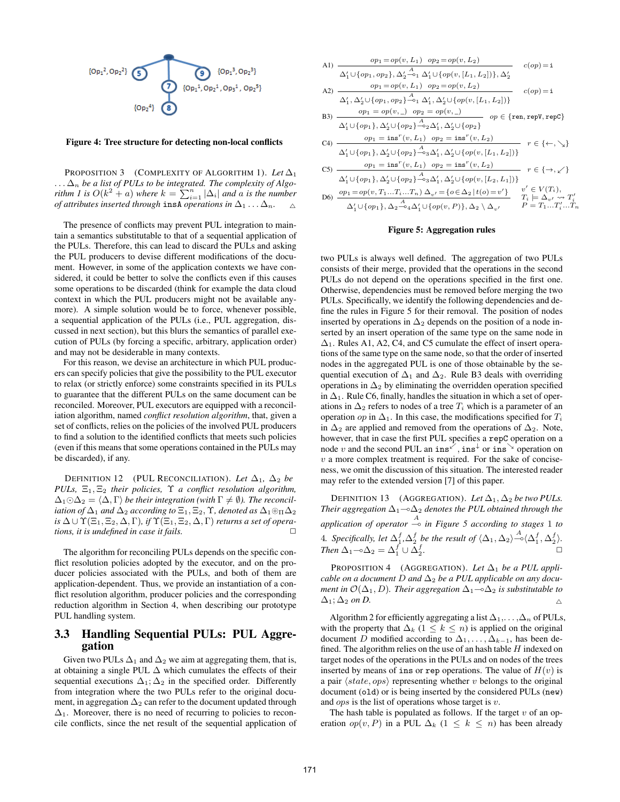

Figure 4: Tree structure for detecting non-local conflicts

PROPOSITION 3 (COMPLEXITY OF ALGORITHM 1). Let  $\Delta_1$ . . . ∆<sup>n</sup> *be a list of PULs to be integrated. The complexity of Algorithm 1 is*  $O(k^2 + a)$  *where*  $k = \sum_{i=1}^{n} |\Delta_i|$  *and a is the number of attributes inserted through* insA *operations in*  $\Delta_1 \ldots \Delta_n$ .

The presence of conflicts may prevent PUL integration to maintain a semantics substitutable to that of a sequential application of the PULs. Therefore, this can lead to discard the PULs and asking the PUL producers to devise different modifications of the document. However, in some of the application contexts we have considered, it could be better to solve the conflicts even if this causes some operations to be discarded (think for example the data cloud context in which the PUL producers might not be available anymore). A simple solution would be to force, whenever possible, a sequential application of the PULs (i.e., PUL aggregation, discussed in next section), but this blurs the semantics of parallel execution of PULs (by forcing a specific, arbitrary, application order) and may not be desiderable in many contexts.

For this reason, we devise an architecture in which PUL producers can specify policies that give the possibility to the PUL executor to relax (or strictly enforce) some constraints specified in its PULs to guarantee that the different PULs on the same document can be reconciled. Moreover, PUL executors are equipped with a reconciliation algorithm, named *conflict resolution algorithm*, that, given a set of conflicts, relies on the policies of the involved PUL producers to find a solution to the identified conflicts that meets such policies (even if this means that some operations contained in the PULs may be discarded), if any.

DEFINITION 12 (PUL RECONCILIATION). Let  $\Delta_1$ ,  $\Delta_2$  be *PULs,*  $\Xi_1$ ,  $\Xi_2$  *their policies,*  $\Upsilon$  *a conflict resolution algorithm,*  $\Delta_1 \odot \Delta_2 = \langle \Delta, \Gamma \rangle$  *be their integration (with*  $\Gamma \neq \emptyset$ ). The reconcil*iation of*  $\Delta_1$  *and*  $\Delta_2$  *according to*  $\Xi_1$ ,  $\Xi_2$ ,  $\Upsilon$ *, denoted as*  $\Delta_1 \odot_{\Pi} \Delta_2$  $i s \Delta \cup \Upsilon(\Xi_1, \Xi_2, \Delta, \Gamma)$ *, if*  $\Upsilon(\Xi_1, \Xi_2, \Delta, \Gamma)$  *returns a set of opera* $tions, it is undefined in case it fails.$ 

The algorithm for reconciling PULs depends on the specific conflict resolution policies adopted by the executor, and on the producer policies associated with the PULs, and both of them are application-dependent. Thus, we provide an instantiation of a conflict resolution algorithm, producer policies and the corresponding reduction algorithm in Section 4, when describing our prototype PUL handling system.

### 3.3 Handling Sequential PULs: PUL Aggregation

Given two PULs  $\Delta_1$  and  $\Delta_2$  we aim at aggregating them, that is, at obtaining a single PUL  $\Delta$  which cumulates the effects of their sequential executions  $\Delta_1$ ;  $\Delta_2$  in the specified order. Differently from integration where the two PULs refer to the original document, in aggregation  $\Delta_2$  can refer to the document updated through  $\Delta_1$ . Moreover, there is no need of recurring to policies to reconcile conflicts, since the net result of the sequential application of

A1) 
$$
\frac{op_1 = op(v, L_1) op_2 = op(v, L_2)}{\Delta'_1 \cup \{ op_1, op_2\}, \Delta'_2 \xrightarrow{A} \Delta'_1 \cup \{ op(v, [L_1, L_2])\}, \Delta'_2}
$$

$$
c(op) = i
$$
  
A2) 
$$
\frac{op_1 = op(v, L_1) op_2 = op(v, L_2)}{\Delta'_1, \Delta'_2 \cup \{ op_1, op_2\} \xrightarrow{A} \Delta'_1, \Delta'_2 \cup \{ op(v, [L_1, L_2])\}}
$$

$$
c(op) = i
$$
  
B3) 
$$
\frac{op_1 = op(v, \_) op_2 = op(v, \_)}{\Delta'_1 \cup \{ op_1\}, \Delta'_2 \cup \{ op_2\} \xrightarrow{A} \Delta'_1, \Delta'_2 \cup \{ opv, \_] op \in \{\text{ren}, \text{repV}, \text{repC}\}}
$$

$$
c4) \frac{op_1 = \text{ins}^r(v, L_1) op_2 = \text{ins}^r(v, L_2)}{\Delta'_1 \cup \{ op_1\}, \Delta'_2 \cup \{ op_2\} \xrightarrow{A} \Delta'_1, \Delta'_2 \cup \{ op(v, [L_1, L_2])\}}
$$

$$
r \in \{\leftarrow, \searrow\}
$$

$$
\frac{op_1 = \text{ins}^r(v, L_1) op_2 = \text{ins}^r(v, L_2)}{\Delta'_1 \cup \{ op_1\}, \Delta'_2 \cup \{ op_2\} \xrightarrow{A} \Delta'_1, \Delta'_2 \cup \{ op(v, [L_2, L_1])\}}
$$

$$
r \in \{\rightarrow, \swarrow\}
$$

$$
\frac{op_1 = op(v, T_1...T_i...T_n) \Delta_{v'} = \{o \in \Delta_2 | t(o) = v'\}}{\Delta'_1 \cup \{ op_1\}, \Delta_2 \xrightarrow{A} \Delta'_1 \cup \{ op(v, P)\}, \Delta_2 \setminus \Delta_{v'}}
$$

$$
r = T_1...T'_i...T_n
$$

#### Figure 5: Aggregation rules

two PULs is always well defined. The aggregation of two PULs consists of their merge, provided that the operations in the second PULs do not depend on the operations specified in the first one. Otherwise, dependencies must be removed before merging the two PULs. Specifically, we identify the following dependencies and define the rules in Figure 5 for their removal. The position of nodes inserted by operations in  $\Delta_2$  depends on the position of a node inserted by an insert operation of the same type on the same node in  $\Delta_1$ . Rules A1, A2, C4, and C5 cumulate the effect of insert operations of the same type on the same node, so that the order of inserted nodes in the aggregated PUL is one of those obtainable by the sequential execution of  $\Delta_1$  and  $\Delta_2$ . Rule B3 deals with overriding operations in  $\Delta_2$  by eliminating the overridden operation specified in  $\Delta_1$ . Rule C6, finally, handles the situation in which a set of operations in  $\Delta_2$  refers to nodes of a tree  $T_i$  which is a parameter of an operation op in  $\Delta_1$ . In this case, the modifications specified for  $T_i$ in  $\Delta_2$  are applied and removed from the operations of  $\Delta_2$ . Note, however, that in case the first PUL specifies a repC operation on a node v and the second PUL an ins<sup> $\overline{\times}$ </sup>, ins<sup> $\overline{\phantom{a}}$ </sup> or ins  $\overline{\phantom{a}}$  operation on  $v$  a more complex treatment is required. For the sake of conciseness, we omit the discussion of this situation. The interested reader may refer to the extended version [7] of this paper.

DEFINITION 13 (AGGREGATION). Let  $\Delta_1$ ,  $\Delta_2$  be two PULs. *Their aggregation*  $\Delta_1 \sim \Delta_2$  *denotes the PUL obtained through the application of operator* <sup>A</sup>( *in Figure 5 according to stages* <sup>1</sup> *to* 4. Specifically, let  $\Delta_1^f$ ,  $\Delta_2^f$  be the result of  $\langle \Delta_1, \Delta_2 \rangle \rightarrow{\Delta} (\Delta_1^f, \Delta_2^f)$ . *Then*  $\Delta_1 \neg \neg \Delta_2 = \Delta_1^f \cup \Delta_2^f$ .

PROPOSITION 4 (AGGREGATION). *Let* ∆<sup>1</sup> *be a PUL applicable on a document* D *and* ∆<sup>2</sup> *be a PUL applicable on any document in*  $\mathcal{O}(\Delta_1, D)$ *. Their aggregation*  $\Delta_1 \rightarrow \Delta_2$  *is substitutable to*  $\Delta_1$ ;  $\Delta_2$  *on D.*  $\Delta$ 

Algorithm 2 for efficiently aggregating a list  $\Delta_1,\ldots,\Delta_n$  of PULs, with the property that  $\Delta_k$  (1  $\leq k \leq n$ ) is applied on the original document D modified according to  $\Delta_1, \ldots, \Delta_{k-1}$ , has been defined. The algorithm relies on the use of an hash table  $H$  indexed on target nodes of the operations in the PULs and on nodes of the trees inserted by means of ins or rep operations. The value of  $H(v)$  is a pair  $\langle state, ops \rangle$  representing whether v belongs to the original document (old) or is being inserted by the considered PULs (new) and ops is the list of operations whose target is v.

The hash table is populated as follows. If the target  $v$  of an operation  $op(v, P)$  in a PUL  $\Delta_k$  (1  $\leq k \leq n$ ) has been already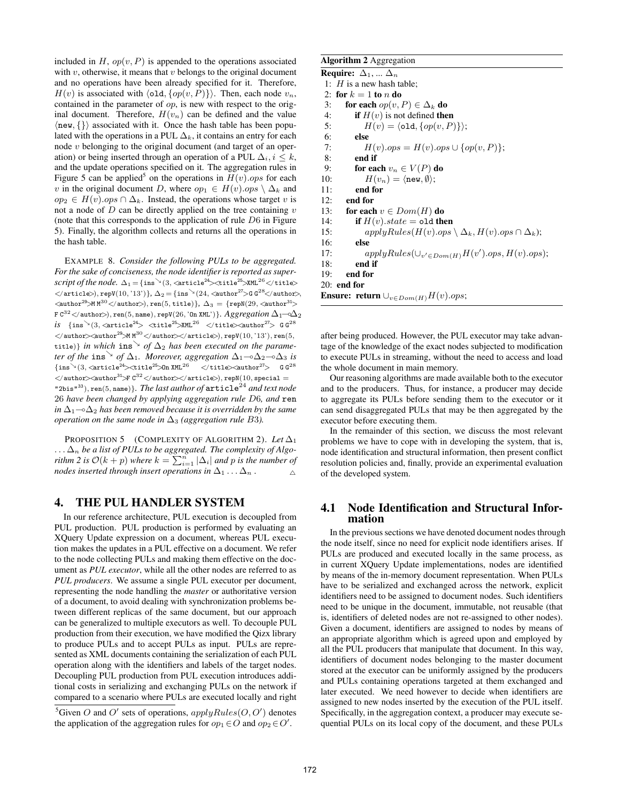included in  $H$ ,  $op(v, P)$  is appended to the operations associated with  $v$ , otherwise, it means that  $v$  belongs to the original document and no operations have been already specified for it. Therefore,  $H(v)$  is associated with  $\langle oId, \{op(v, P)\}\rangle$ . Then, each node  $v_n$ , contained in the parameter of op, is new with respect to the original document. Therefore,  $H(v_n)$  can be defined and the value  $\langle new, \{\} \rangle$  associated with it. Once the hash table has been populated with the operations in a PUL  $\Delta_k$ , it contains an entry for each node v belonging to the original document (and target of an operation) or being inserted through an operation of a PUL  $\Delta_i, i \leq k$ , and the update operations specified on it. The aggregation rules in Figure 5 can be applied<sup>5</sup> on the operations in  $H(v)$ .ops for each v in the original document D, where  $op_1 \in H(v)$ .ops  $\setminus \Delta_k$  and  $op_2 \in H(v)$ .ops  $\cap \Delta_k$ . Instead, the operations whose target v is not a node of  $D$  can be directly applied on the tree containing  $v$ (note that this corresponds to the application of rule D6 in Figure 5). Finally, the algorithm collects and returns all the operations in the hash table.

EXAMPLE 8. *Consider the following PULs to be aggregated. For the sake of conciseness, the node identifier is reported as superscript of the node.*  $\Delta_1 = \{\text{ins} \setminus (3, \text{ title}^2 \text{ >MIL}^26 \text{ title}^2 \text{ >title}^2 \text{ >title}^2 \text{ >title}^2 \text{ >title}^2 \text{ >title}^2 \text{ >title}^2 \text{ >title}^2 \text{ >title}^2 \text{ >title}^2 \text{ >title}^2 \text{ >title}^2 \text{ >title}^2 \text{ >title}^2 \text{ >title}^2 \text{ >title}^$  $\langle$ article>), repV(10, '13')},  $\Delta_2 = \{$ ins  $\angle$ (24,  $\langle$ author<sup>27</sup>>G G<sup>28</sup> $\langle$ /author>,  $\langle$ author<sup>29</sup>>M M<sup>30</sup> $\langle$ /author>), ren(5, title)},  $\Delta_3$  = {repN(29,  $\langle$ author<sup>31</sup>>  $F C^{32}$   $\lt$ /author>), ren(5, name), repV(26, 'On XML')}. Aggregation  $\Delta_1$ - $\Delta_2$  $is$  {ins<sup> $\gtrsim$ </sup>(3, <article<sup>24</sup>> <title<sup>25</sup>>XML<sup>26</sup> </title><author<sup>27</sup>> G G<sup>28</sup>  $<\!\!<\!\!\textrm{author}\!\!>\!<\!\!\textrm{author}\!\!>\!\!<\!\!\textrm{author}\!\!>\!<\!\!\textrm{author}\!\!>\!<\!\!\textrm{author}\!\!>\!<\!\!\textrm{author}\!\!>\!<\!\!\textrm{earthor}\!\!>\!\!>_\!\!\textrm{input}(\textrm{10},\textrm{'13'}),\textrm{ren}(\textrm{5},\textrm{m})$ title)} *in which* ins  $\searrow$  *of*  $\Delta_2$  *has been executed on the parameter of the* ins  $\sim$  *of*  $\Delta_1$ *. Moreover, aggregation*  $\Delta_1 \sim \Delta_2 \sim \Delta_3$  *is*  ${\frac{\text{ins}^{\searrow}(3, \text{ } \text{title}^25\text{ on } \text{XML}^26}$  </title> $\text{ *author* }^{27}$  G G<sup>28</sup>  $<\!\!/\texttt{author}\!\!>\!\!<\!\!\texttt{author}^3\!\!>\!\! \texttt{F}~\texttt{C}^{32}\!\!<\!\!\!/\texttt{author}\!\!>\!\!<\!\!\!/\texttt{article}\!\!>\!\!), \texttt{repN}(10,\texttt{special}=\;\!$ "2bis"<sup>33</sup>), ren(5, name)}. The last author of  $\ar{t}$ icle<sup>24</sup> and text node 26 *have been changed by applying aggregation rule* D6*, and* ren *in*  $\Delta_1 \rightarrow \Delta_2$  *has been removed because it is overridden by the same operation on the same node in*  $\Delta_3$  *(aggregation rule B3).* 

PROPOSITION 5 (COMPLEXITY OF ALGORITHM 2). Let  $\Delta_1$ . . . ∆<sup>n</sup> *be a list of PULs to be aggregated. The complexity of Algorithm 2 is*  $\mathcal{O}(k+p)$  *where*  $k = \sum_{i=1}^{n} |\Delta_i|$  *and p is the number of nodes inserted through insert operations in*  $\Delta_1 \ldots \Delta_n$ .

### 4. THE PUL HANDLER SYSTEM

In our reference architecture, PUL execution is decoupled from PUL production. PUL production is performed by evaluating an XQuery Update expression on a document, whereas PUL execution makes the updates in a PUL effective on a document. We refer to the node collecting PULs and making them effective on the document as *PUL executor*, while all the other nodes are referred to as *PUL producers*. We assume a single PUL executor per document, representing the node handling the *master* or authoritative version of a document, to avoid dealing with synchronization problems between different replicas of the same document, but our approach can be generalized to multiple executors as well. To decouple PUL production from their execution, we have modified the Qizx library to produce PULs and to accept PULs as input. PULs are represented as XML documents containing the serialization of each PUL operation along with the identifiers and labels of the target nodes. Decoupling PUL production from PUL execution introduces additional costs in serializing and exchanging PULs on the network if compared to a scenario where PULs are executed locally and right

#### Algorithm 2 Aggregation

| <b>Require:</b> $\Delta_1, \ldots \Delta_n$                               |  |  |
|---------------------------------------------------------------------------|--|--|
| 1: $H$ is a new hash table;                                               |  |  |
| 2: for $k=1$ to n do                                                      |  |  |
| for each $op(v, P) \in \Delta_k$ do<br>3:                                 |  |  |
| if $H(v)$ is not defined then<br>4:                                       |  |  |
| $H(v) = \langle \text{old}, \{op(v, P)\}\rangle;$<br>5:                   |  |  |
| 6:<br>else                                                                |  |  |
| $H(v)$ .ops = $H(v)$ .ops $\cup$ {op(v, P)};<br>7:                        |  |  |
| end if<br>8:                                                              |  |  |
| for each $v_n \in V(P)$ do<br>9:                                          |  |  |
| $H(v_n) = \langle \text{new}, \emptyset \rangle;$<br>10:                  |  |  |
| end for<br>11:                                                            |  |  |
| end for<br>12:                                                            |  |  |
| for each $v \in Dom(H)$ do<br>13:                                         |  |  |
| if $H(v)$ .state = old then<br>14:                                        |  |  |
| $applyRules(H(v).ops \setminus \Delta_k, H(v).ops \cap \Delta_k);$<br>15: |  |  |
| 16:<br>else                                                               |  |  |
| $applyRules(\cup_{v' \in Dom(H)} H(v').ops, H(v).ops);$<br>17:            |  |  |
| end if<br>18:                                                             |  |  |
| 19:<br>end for                                                            |  |  |
| $20:$ end for                                                             |  |  |
| <b>Ensure:</b> return $\cup_{v \in Dom(H)} H(v)$ .ops;                    |  |  |

after being produced. However, the PUL executor may take advantage of the knowledge of the exact nodes subjected to modification to execute PULs in streaming, without the need to access and load the whole document in main memory.

Our reasoning algorithms are made available both to the executor and to the producers. Thus, for instance, a producer may decide to aggregate its PULs before sending them to the executor or it can send disaggregated PULs that may be then aggregated by the executor before executing them.

In the remainder of this section, we discuss the most relevant problems we have to cope with in developing the system, that is, node identification and structural information, then present conflict resolution policies and, finally, provide an experimental evaluation of the developed system.

### 4.1 Node Identification and Structural Information

In the previous sections we have denoted document nodes through the node itself, since no need for explicit node identifiers arises. If PULs are produced and executed locally in the same process, as in current XQuery Update implementations, nodes are identified by means of the in-memory document representation. When PULs have to be serialized and exchanged across the network, explicit identifiers need to be assigned to document nodes. Such identifiers need to be unique in the document, immutable, not reusable (that is, identifiers of deleted nodes are not re-assigned to other nodes). Given a document, identifiers are assigned to nodes by means of an appropriate algorithm which is agreed upon and employed by all the PUL producers that manipulate that document. In this way, identifiers of document nodes belonging to the master document stored at the executor can be uniformly assigned by the producers and PULs containing operations targeted at them exchanged and later executed. We need however to decide when identifiers are assigned to new nodes inserted by the execution of the PUL itself. Specifically, in the aggregation context, a producer may execute sequential PULs on its local copy of the document, and these PULs

<sup>&</sup>lt;sup>5</sup>Given O and O' sets of operations,  $applyRules(O, O')$  denotes the application of the aggregation rules for  $op_1 \in O$  and  $op_2 \in O'$ .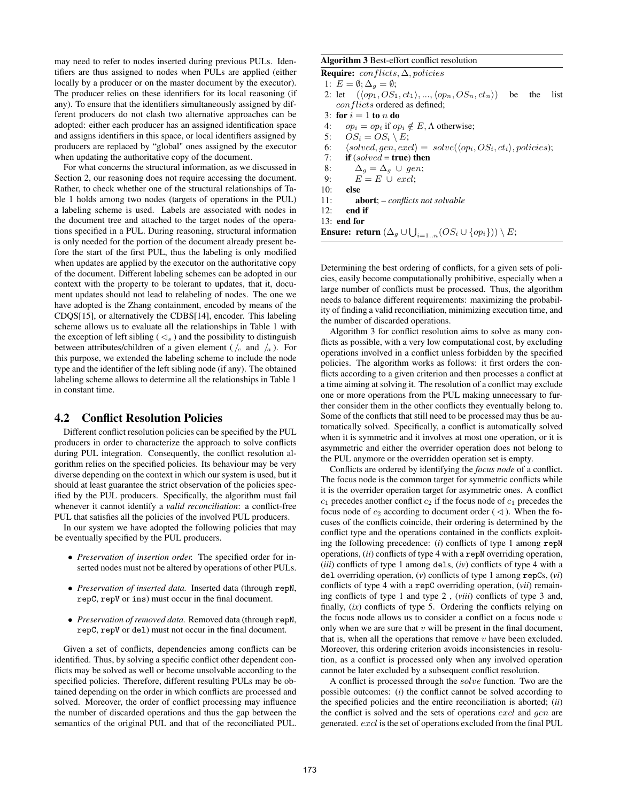may need to refer to nodes inserted during previous PULs. Identifiers are thus assigned to nodes when PULs are applied (either locally by a producer or on the master document by the executor). The producer relies on these identifiers for its local reasoning (if any). To ensure that the identifiers simultaneously assigned by different producers do not clash two alternative approaches can be adopted: either each producer has an assigned identification space and assigns identifiers in this space, or local identifiers assigned by producers are replaced by "global" ones assigned by the executor when updating the authoritative copy of the document.

For what concerns the structural information, as we discussed in Section 2, our reasoning does not require accessing the document. Rather, to check whether one of the structural relationships of Table 1 holds among two nodes (targets of operations in the PUL) a labeling scheme is used. Labels are associated with nodes in the document tree and attached to the target nodes of the operations specified in a PUL. During reasoning, structural information is only needed for the portion of the document already present before the start of the first PUL, thus the labeling is only modified when updates are applied by the executor on the authoritative copy of the document. Different labeling schemes can be adopted in our context with the property to be tolerant to updates, that it, document updates should not lead to relabeling of nodes. The one we have adopted is the Zhang containment, encoded by means of the CDQS[15], or alternatively the CDBS[14], encoder. This labeling scheme allows us to evaluate all the relationships in Table 1 with the exception of left sibling ( $\triangleleft_s$ ) and the possibility to distinguish between attributes/children of a given element ( $\ell_c$  and  $\ell_a$ ). For this purpose, we extended the labeling scheme to include the node type and the identifier of the left sibling node (if any). The obtained labeling scheme allows to determine all the relationships in Table 1 in constant time.

# 4.2 Conflict Resolution Policies

Different conflict resolution policies can be specified by the PUL producers in order to characterize the approach to solve conflicts during PUL integration. Consequently, the conflict resolution algorithm relies on the specified policies. Its behaviour may be very diverse depending on the context in which our system is used, but it should at least guarantee the strict observation of the policies specified by the PUL producers. Specifically, the algorithm must fail whenever it cannot identify a *valid reconciliation*: a conflict-free PUL that satisfies all the policies of the involved PUL producers.

In our system we have adopted the following policies that may be eventually specified by the PUL producers.

- *Preservation of insertion order.* The specified order for inserted nodes must not be altered by operations of other PULs.
- *Preservation of inserted data.* Inserted data (through repN, repC, repV or ins) must occur in the final document.
- *Preservation of removed data.* Removed data (through repN, repC, repV or del) must not occur in the final document.

Given a set of conflicts, dependencies among conflicts can be identified. Thus, by solving a specific conflict other dependent conflicts may be solved as well or become unsolvable according to the specified policies. Therefore, different resulting PULs may be obtained depending on the order in which conflicts are processed and solved. Moreover, the order of conflict processing may influence the number of discarded operations and thus the gap between the semantics of the original PUL and that of the reconciliated PUL.

#### Algorithm 3 Best-effort conflict resolution

Require:  $conflicts, \Delta, policies$ 

1:  $E = \emptyset; \Delta_g = \emptyset;$ 

- 2: let  $(\langle op_1, OS_1, ct_1 \rangle, ..., \langle op_n, OS_n, ct_n \rangle)$  be the list conflicts ordered as defined;
- 3: for  $i = 1$  to n do
- 4:  $op_i = op_i$  if  $op_i \notin E$ ,  $\Lambda$  otherwise;
- 5:  $OS_i = OS_i \setminus E;$
- 6:  $\langle solved, gen, excl \rangle = solve(\langle op_i, OS_i, ct_i \rangle, policies);$
- 7: if  $(solved = true)$  then
- 8:  $\Delta_g = \Delta_g \cup gen;$
- 9:  $E = E \cup excl;$
- 10: else
- 11: abort;  *conflicts not solvable*

12: end if

13: end for

**Ensure:** return  $(\Delta_g \cup \bigcup_{i=1..n} (OS_i \cup \{op_i\})) \setminus E;$ 

Determining the best ordering of conflicts, for a given sets of policies, easily become computationally prohibitive, especially when a large number of conflicts must be processed. Thus, the algorithm needs to balance different requirements: maximizing the probability of finding a valid reconciliation, minimizing execution time, and the number of discarded operations.

Algorithm 3 for conflict resolution aims to solve as many conflicts as possible, with a very low computational cost, by excluding operations involved in a conflict unless forbidden by the specified policies. The algorithm works as follows: it first orders the conflicts according to a given criterion and then processes a conflict at a time aiming at solving it. The resolution of a conflict may exclude one or more operations from the PUL making unnecessary to further consider them in the other conflicts they eventually belong to. Some of the conflicts that still need to be processed may thus be automatically solved. Specifically, a conflict is automatically solved when it is symmetric and it involves at most one operation, or it is asymmetric and either the overrider operation does not belong to the PUL anymore or the overridden operation set is empty.

Conflicts are ordered by identifying the *focus node* of a conflict. The focus node is the common target for symmetric conflicts while it is the overrider operation target for asymmetric ones. A conflict  $c_1$  precedes another conflict  $c_2$  if the focus node of  $c_1$  precedes the focus node of  $c_2$  according to document order ( $\triangleleft$ ). When the focuses of the conflicts coincide, their ordering is determined by the conflict type and the operations contained in the conflicts exploiting the following precedence: (*i*) conflicts of type 1 among repN operations, (*ii*) conflicts of type 4 with a repN overriding operation, (*iii*) conflicts of type 1 among dels, (*iv*) conflicts of type 4 with a del overriding operation, (*v*) conflicts of type 1 among repCs, (*vi*) conflicts of type 4 with a repC overriding operation, (*vii*) remaining conflicts of type 1 and type 2 , (*viii*) conflicts of type 3 and, finally, (*ix*) conflicts of type 5. Ordering the conflicts relying on the focus node allows us to consider a conflict on a focus node  $v$ only when we are sure that  $v$  will be present in the final document, that is, when all the operations that remove  $v$  have been excluded. Moreover, this ordering criterion avoids inconsistencies in resolution, as a conflict is processed only when any involved operation cannot be later excluded by a subsequent conflict resolution.

A conflict is processed through the solve function. Two are the possible outcomes: (*i*) the conflict cannot be solved according to the specified policies and the entire reconciliation is aborted; (*ii*) the conflict is solved and the sets of operations excl and gen are generated. excl is the set of operations excluded from the final PUL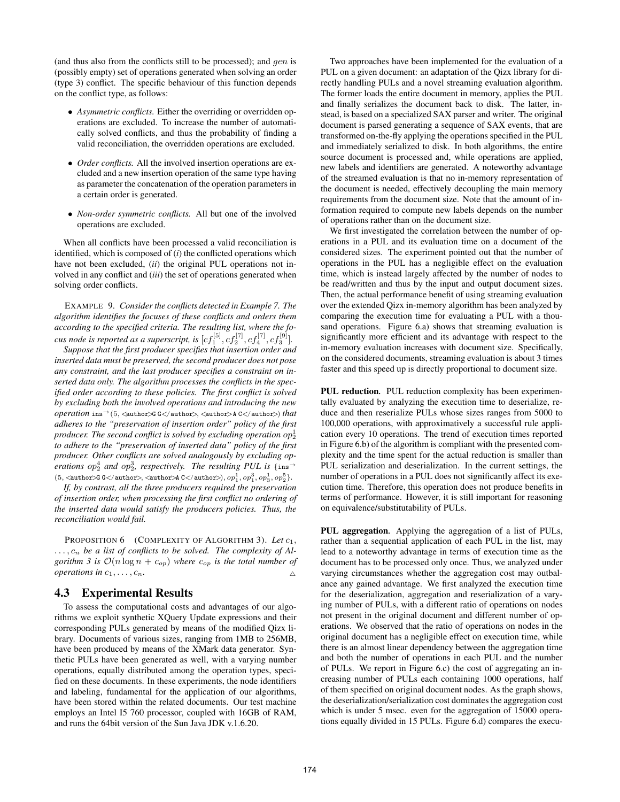(and thus also from the conflicts still to be processed); and  $qen$  is (possibly empty) set of operations generated when solving an order (type 3) conflict. The specific behaviour of this function depends on the conflict type, as follows:

- *Asymmetric conflicts.* Either the overriding or overridden operations are excluded. To increase the number of automatically solved conflicts, and thus the probability of finding a valid reconciliation, the overridden operations are excluded.
- *Order conflicts.* All the involved insertion operations are excluded and a new insertion operation of the same type having as parameter the concatenation of the operation parameters in a certain order is generated.
- *Non-order symmetric conflicts.* All but one of the involved operations are excluded.

When all conflicts have been processed a valid reconciliation is identified, which is composed of (*i*) the conflicted operations which have not been excluded, (*ii*) the original PUL operations not involved in any conflict and (*iii*) the set of operations generated when solving order conflicts.

EXAMPLE 9. *Consider the conflicts detected in Example 7. The algorithm identifies the focuses of these conflicts and orders them according to the specified criteria. The resulting list, where the fo-* $\emph{cus node is reported as a superscript, is } [cf^{[5]}_1, cf^{[7]}_2, cf^{[7]}_4, cf^{[9]}_3].$ 

*Suppose that the first producer specifies that insertion order and inserted data must be preserved, the second producer does not pose any constraint, and the last producer specifies a constraint on inserted data only. The algorithm processes the conflicts in the specified order according to these policies. The first conflict is solved by excluding both the involved operations and introducing the new operation* ins→(5, <author>G G</author>, <author>A C</author>) *that adheres to the "preservation of insertion order" policy of the first* producer. The second conflict is solved by excluding operation  $\mathrm{op}^1_2$ *to adhere to the "preservation of inserted data" policy of the first producer. Other conflicts are solved analogously by excluding operations*  $op_2^4$  *and*  $op_2^3$ *, respectively. The resulting PUL is* { $ins$ <sup> $\rightarrow$ </sup>  $(5,<\!\!\mathsf{author}\!\!>\!\!\mathsf{G}\!\ll\!\!/\mathsf{author}\!\!>\!,<\!\!\mathsf{author}\!\!>\!\!\mathsf{A}\;\mathsf{C}\!\!<\!\!\!/\mathsf{author}\!\!>\!,o p_1^1,o p_1^3,o p_2^1,o p_2^5\}.$ 

*If, by contrast, all the three producers required the preservation of insertion order, when processing the first conflict no ordering of the inserted data would satisfy the producers policies. Thus, the reconciliation would fail.*

PROPOSITION 6 (COMPLEXITY OF ALGORITHM 3). Let  $c_1$ , ...,  $c_n$  *be a list of conflicts to be solved. The complexity of Algorithm 3 is*  $O(n \log n + c_{op})$  *where*  $c_{op}$  *is the total number of operations in*  $c_1, \ldots, c_n$ .

# 4.3 Experimental Results

To assess the computational costs and advantages of our algorithms we exploit synthetic XQuery Update expressions and their corresponding PULs generated by means of the modified Qizx library. Documents of various sizes, ranging from 1MB to 256MB, have been produced by means of the XMark data generator. Synthetic PULs have been generated as well, with a varying number operations, equally distributed among the operation types, specified on these documents. In these experiments, the node identifiers and labeling, fundamental for the application of our algorithms, have been stored within the related documents. Our test machine employs an Intel I5 760 processor, coupled with 16GB of RAM, and runs the 64bit version of the Sun Java JDK v.1.6.20.

Two approaches have been implemented for the evaluation of a PUL on a given document: an adaptation of the Qizx library for directly handling PULs and a novel streaming evaluation algorithm. The former loads the entire document in memory, applies the PUL and finally serializes the document back to disk. The latter, instead, is based on a specialized SAX parser and writer. The original document is parsed generating a sequence of SAX events, that are transformed on-the-fly applying the operations specified in the PUL and immediately serialized to disk. In both algorithms, the entire source document is processed and, while operations are applied, new labels and identifiers are generated. A noteworthy advantage of the streamed evaluation is that no in-memory representation of the document is needed, effectively decoupling the main memory requirements from the document size. Note that the amount of information required to compute new labels depends on the number of operations rather than on the document size.

We first investigated the correlation between the number of operations in a PUL and its evaluation time on a document of the considered sizes. The experiment pointed out that the number of operations in the PUL has a negligible effect on the evaluation time, which is instead largely affected by the number of nodes to be read/written and thus by the input and output document sizes. Then, the actual performance benefit of using streaming evaluation over the extended Qizx in-memory algorithm has been analyzed by comparing the execution time for evaluating a PUL with a thousand operations. Figure 6.a) shows that streaming evaluation is significantly more efficient and its advantage with respect to the in-memory evaluation increases with document size. Specifically, on the considered documents, streaming evaluation is about 3 times faster and this speed up is directly proportional to document size.

PUL reduction. PUL reduction complexity has been experimentally evaluated by analyzing the execution time to deserialize, reduce and then reserialize PULs whose sizes ranges from 5000 to 100,000 operations, with approximatively a successful rule application every 10 operations. The trend of execution times reported in Figure 6.b) of the algorithm is compliant with the presented complexity and the time spent for the actual reduction is smaller than PUL serialization and deserialization. In the current settings, the number of operations in a PUL does not significantly affect its execution time. Therefore, this operation does not produce benefits in terms of performance. However, it is still important for reasoning on equivalence/substitutability of PULs.

PUL aggregation*.* Applying the aggregation of a list of PULs, rather than a sequential application of each PUL in the list, may lead to a noteworthy advantage in terms of execution time as the document has to be processed only once. Thus, we analyzed under varying circumstances whether the aggregation cost may outbalance any gained advantage. We first analyzed the execution time for the deserialization, aggregation and reserialization of a varying number of PULs, with a different ratio of operations on nodes not present in the original document and different number of operations. We observed that the ratio of operations on nodes in the original document has a negligible effect on execution time, while there is an almost linear dependency between the aggregation time and both the number of operations in each PUL and the number of PULs. We report in Figure 6.c) the cost of aggregating an increasing number of PULs each containing 1000 operations, half of them specified on original document nodes. As the graph shows, the deserialization/serialization cost dominates the aggregation cost which is under 5 msec. even for the aggregation of 15000 operations equally divided in 15 PULs. Figure 6.d) compares the execu-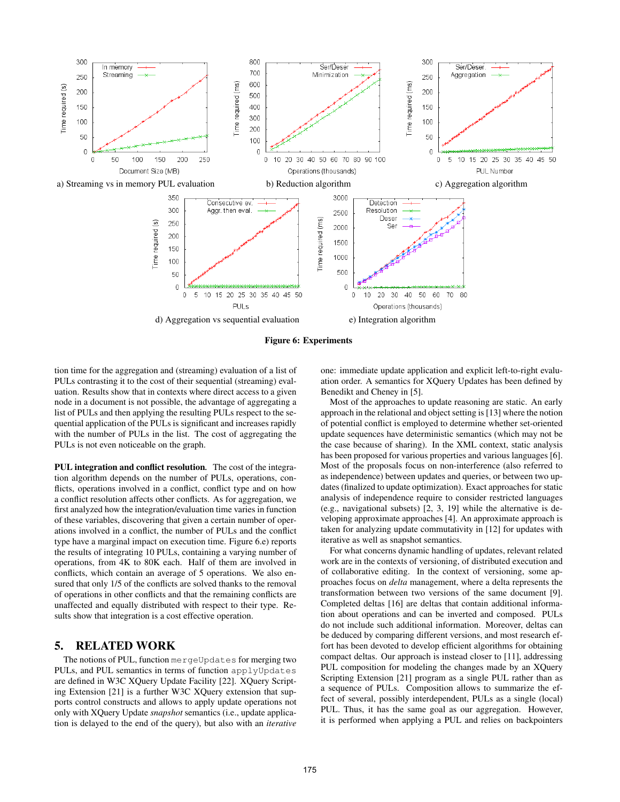

Figure 6: Experiments

tion time for the aggregation and (streaming) evaluation of a list of PULs contrasting it to the cost of their sequential (streaming) evaluation. Results show that in contexts where direct access to a given node in a document is not possible, the advantage of aggregating a list of PULs and then applying the resulting PULs respect to the sequential application of the PULs is significant and increases rapidly with the number of PULs in the list. The cost of aggregating the PULs is not even noticeable on the graph.

PUL integration and conflict resolution*.* The cost of the integration algorithm depends on the number of PULs, operations, conflicts, operations involved in a conflict, conflict type and on how a conflict resolution affects other conflicts. As for aggregation, we first analyzed how the integration/evaluation time varies in function of these variables, discovering that given a certain number of operations involved in a conflict, the number of PULs and the conflict type have a marginal impact on execution time. Figure 6.e) reports the results of integrating 10 PULs, containing a varying number of operations, from 4K to 80K each. Half of them are involved in conflicts, which contain an average of 5 operations. We also ensured that only 1/5 of the conflicts are solved thanks to the removal of operations in other conflicts and that the remaining conflicts are unaffected and equally distributed with respect to their type. Results show that integration is a cost effective operation.

# 5. RELATED WORK

The notions of PUL, function mergeUpdates for merging two PULs, and PUL semantics in terms of function applyUpdates are defined in W3C XQuery Update Facility [22]. XQuery Scripting Extension [21] is a further W3C XQuery extension that supports control constructs and allows to apply update operations not only with XQuery Update *snapshot* semantics (i.e., update application is delayed to the end of the query), but also with an *iterative* one: immediate update application and explicit left-to-right evaluation order. A semantics for XQuery Updates has been defined by Benedikt and Cheney in [5].

Most of the approaches to update reasoning are static. An early approach in the relational and object setting is [13] where the notion of potential conflict is employed to determine whether set-oriented update sequences have deterministic semantics (which may not be the case because of sharing). In the XML context, static analysis has been proposed for various properties and various languages [6]. Most of the proposals focus on non-interference (also referred to as independence) between updates and queries, or between two updates (finalized to update optimization). Exact approaches for static analysis of independence require to consider restricted languages (e.g., navigational subsets) [2, 3, 19] while the alternative is developing approximate approaches [4]. An approximate approach is taken for analyzing update commutativity in [12] for updates with iterative as well as snapshot semantics.

For what concerns dynamic handling of updates, relevant related work are in the contexts of versioning, of distributed execution and of collaborative editing. In the context of versioning, some approaches focus on *delta* management, where a delta represents the transformation between two versions of the same document [9]. Completed deltas [16] are deltas that contain additional information about operations and can be inverted and composed. PULs do not include such additional information. Moreover, deltas can be deduced by comparing different versions, and most research effort has been devoted to develop efficient algorithms for obtaining compact deltas. Our approach is instead closer to [11], addressing PUL composition for modeling the changes made by an XQuery Scripting Extension [21] program as a single PUL rather than as a sequence of PULs. Composition allows to summarize the effect of several, possibly interdependent, PULs as a single (local) PUL. Thus, it has the same goal as our aggregation. However, it is performed when applying a PUL and relies on backpointers